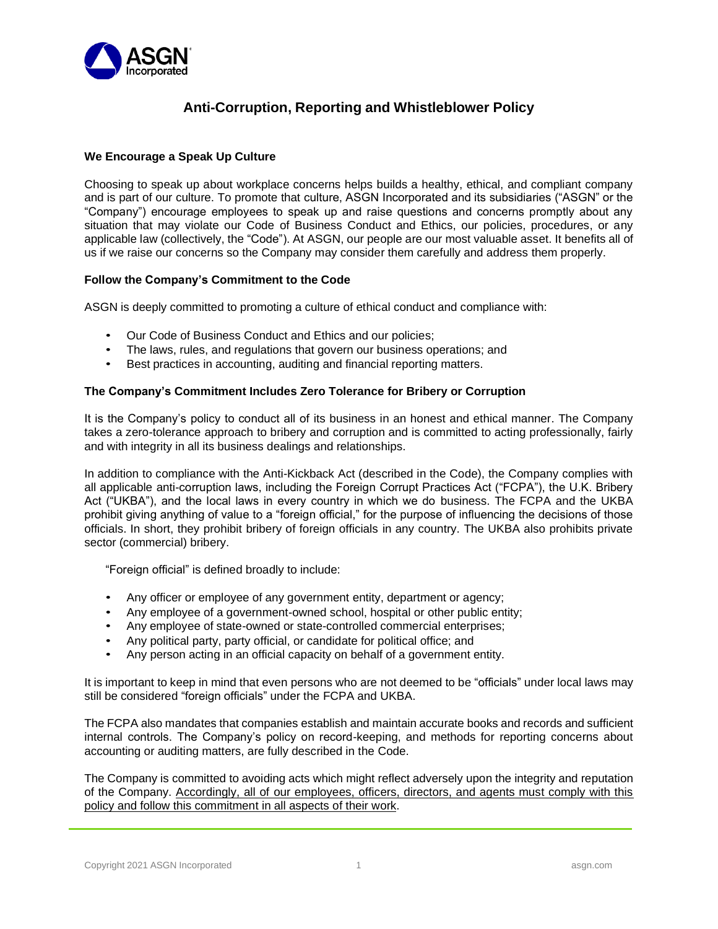

# **Anti-Corruption, Reporting and Whistleblower Policy**

#### **We Encourage a Speak Up Culture**

Choosing to speak up about workplace concerns helps builds a healthy, ethical, and compliant company and is part of our culture. To promote that culture, ASGN Incorporated and its subsidiaries ("ASGN" or the "Company") encourage employees to speak up and raise questions and concerns promptly about any situation that may violate our Code of Business Conduct and Ethics, our policies, procedures, or any applicable law (collectively, the "Code"). At ASGN, our people are our most valuable asset. It benefits all of us if we raise our concerns so the Company may consider them carefully and address them properly.

## **Follow the Company's Commitment to the Code**

ASGN is deeply committed to promoting a culture of ethical conduct and compliance with:

- Our Code of Business Conduct and Ethics and our policies;
- The laws, rules, and regulations that govern our business operations; and
- Best practices in accounting, auditing and financial reporting matters.

## **The Company's Commitment Includes Zero Tolerance for Bribery or Corruption**

It is the Company's policy to conduct all of its business in an honest and ethical manner. The Company takes a zero-tolerance approach to bribery and corruption and is committed to acting professionally, fairly and with integrity in all its business dealings and relationships.

In addition to compliance with the Anti-Kickback Act (described in the Code), the Company complies with all applicable anti-corruption laws, including the Foreign Corrupt Practices Act ("FCPA"), the U.K. Bribery Act ("UKBA"), and the local laws in every country in which we do business. The FCPA and the UKBA prohibit giving anything of value to a "foreign official," for the purpose of influencing the decisions of those officials. In short, they prohibit bribery of foreign officials in any country. The UKBA also prohibits private sector (commercial) bribery.

"Foreign official" is defined broadly to include:

- Any officer or employee of any government entity, department or agency;
- Any employee of a government-owned school, hospital or other public entity;
- Any employee of state-owned or state-controlled commercial enterprises;
- Any political party, party official, or candidate for political office; and
- Any person acting in an official capacity on behalf of a government entity.

It is important to keep in mind that even persons who are not deemed to be "officials" under local laws may still be considered "foreign officials" under the FCPA and UKBA.

The FCPA also mandates that companies establish and maintain accurate books and records and sufficient internal controls. The Company's policy on record-keeping, and methods for reporting concerns about accounting or auditing matters, are fully described in the Code.

The Company is committed to avoiding acts which might reflect adversely upon the integrity and reputation of the Company. Accordingly, all of our employees, officers, directors, and agents must comply with this policy and follow this commitment in all aspects of their work.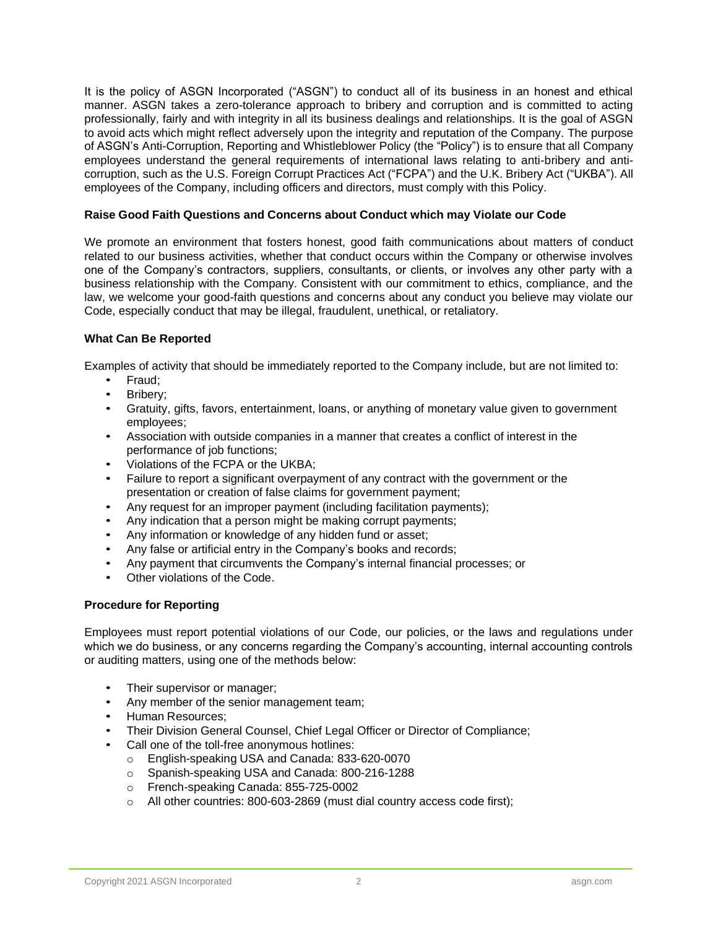It is the policy of ASGN Incorporated ("ASGN") to conduct all of its business in an honest and ethical manner. ASGN takes a zero-tolerance approach to bribery and corruption and is committed to acting professionally, fairly and with integrity in all its business dealings and relationships. It is the goal of ASGN to avoid acts which might reflect adversely upon the integrity and reputation of the Company. The purpose of ASGN's Anti-Corruption, Reporting and Whistleblower Policy (the "Policy") is to ensure that all Company employees understand the general requirements of international laws relating to anti-bribery and anticorruption, such as the U.S. Foreign Corrupt Practices Act ("FCPA") and the U.K. Bribery Act ("UKBA"). All employees of the Company, including officers and directors, must comply with this Policy.

## **Raise Good Faith Questions and Concerns about Conduct which may Violate our Code**

We promote an environment that fosters honest, good faith communications about matters of conduct related to our business activities, whether that conduct occurs within the Company or otherwise involves one of the Company's contractors, suppliers, consultants, or clients, or involves any other party with a business relationship with the Company. Consistent with our commitment to ethics, compliance, and the law, we welcome your good-faith questions and concerns about any conduct you believe may violate our Code, especially conduct that may be illegal, fraudulent, unethical, or retaliatory.

## **What Can Be Reported**

Examples of activity that should be immediately reported to the Company include, but are not limited to:

- Fraud;
- Bribery;
- Gratuity, gifts, favors, entertainment, loans, or anything of monetary value given to government employees;
- Association with outside companies in a manner that creates a conflict of interest in the performance of job functions;
- Violations of the FCPA or the UKBA;
- Failure to report a significant overpayment of any contract with the government or the presentation or creation of false claims for government payment;
- Any request for an improper payment (including facilitation payments);
- Any indication that a person might be making corrupt payments;
- Any information or knowledge of any hidden fund or asset;
- Any false or artificial entry in the Company's books and records;
- Any payment that circumvents the Company's internal financial processes; or
- Other violations of the Code.

#### **Procedure for Reporting**

Employees must report potential violations of our Code, our policies, or the laws and regulations under which we do business, or any concerns regarding the Company's accounting, internal accounting controls or auditing matters, using one of the methods below:

- Their supervisor or manager;
- Any member of the senior management team;
- Human Resources;
- Their Division General Counsel, Chief Legal Officer or Director of Compliance;
- Call one of the toll-free anonymous hotlines:
	- o English-speaking USA and Canada: 833-620-0070
	- o Spanish-speaking USA and Canada: 800-216-1288
	- o French-speaking Canada: 855-725-0002
	- o All other countries: 800-603-2869 (must dial country access code first);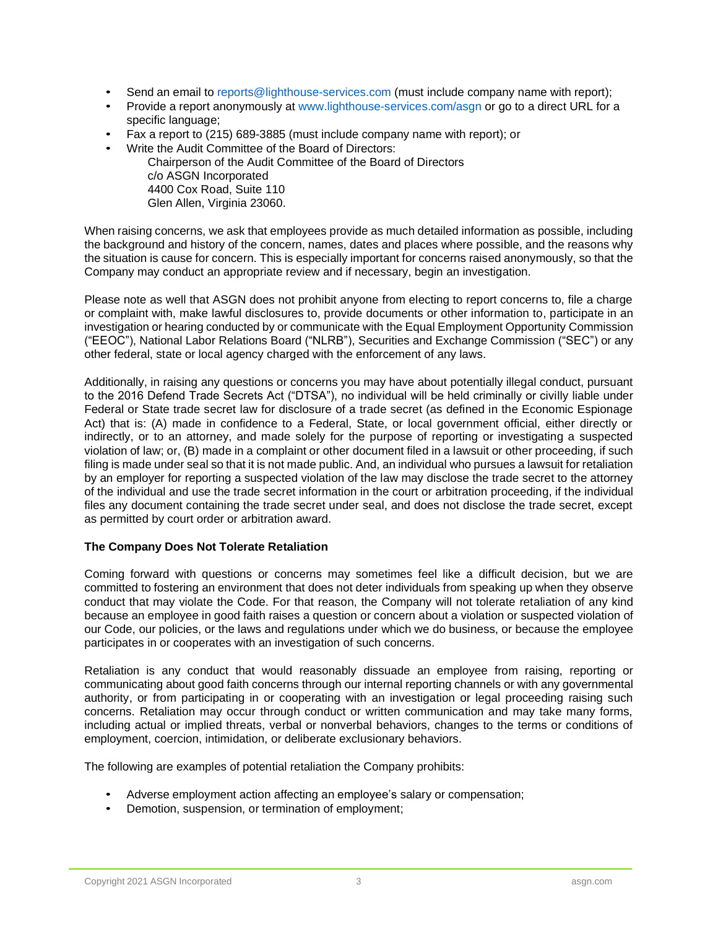- Send an email to [reports@lighthouse-services.com](mailto:reports@lighthouse-services.com) (must include company name with report);
- Provide a report anonymously at [www.lighthouse-services.com/asgn o](http://www.lighthouse-services.com/asgn)r go to a direct URL for a specific language;
- Fax a report to (215) 689-3885 (must include company name with report); or
- Write the Audit Committee of the Board of Directors:

Chairperson of the Audit Committee of the Board of Directors c/o ASGN Incorporated 4400 Cox Road, Suite 110 Glen Allen, Virginia 23060.

When raising concerns, we ask that employees provide as much detailed information as possible, including the background and history of the concern, names, dates and places where possible, and the reasons why the situation is cause for concern. This is especially important for concerns raised anonymously, so that the Company may conduct an appropriate review and if necessary, begin an investigation.

Please note as well that ASGN does not prohibit anyone from electing to report concerns to, file a charge or complaint with, make lawful disclosures to, provide documents or other information to, participate in an investigation or hearing conducted by or communicate with the Equal Employment Opportunity Commission ("EEOC"), National Labor Relations Board ("NLRB"), Securities and Exchange Commission ("SEC") or any other federal, state or local agency charged with the enforcement of any laws.

Additionally, in raising any questions or concerns you may have about potentially illegal conduct, pursuant to the 2016 Defend Trade Secrets Act ("DTSA"), no individual will be held criminally or civilly liable under Federal or State trade secret law for disclosure of a trade secret (as defined in the Economic Espionage Act) that is: (A) made in confidence to a Federal, State, or local government official, either directly or indirectly, or to an attorney, and made solely for the purpose of reporting or investigating a suspected violation of law; or, (B) made in a complaint or other document filed in a lawsuit or other proceeding, if such filing is made under seal so that it is not made public. And, an individual who pursues a lawsuit for retaliation by an employer for reporting a suspected violation of the law may disclose the trade secret to the attorney of the individual and use the trade secret information in the court or arbitration proceeding, if the individual files any document containing the trade secret under seal, and does not disclose the trade secret, except as permitted by court order or arbitration award.

## **The Company Does Not Tolerate Retaliation**

Coming forward with questions or concerns may sometimes feel like a difficult decision, but we are committed to fostering an environment that does not deter individuals from speaking up when they observe conduct that may violate the Code. For that reason, the Company will not tolerate retaliation of any kind because an employee in good faith raises a question or concern about a violation or suspected violation of our Code, our policies, or the laws and regulations under which we do business, or because the employee participates in or cooperates with an investigation of such concerns.

Retaliation is any conduct that would reasonably dissuade an employee from raising, reporting or communicating about good faith concerns through our internal reporting channels or with any governmental authority, or from participating in or cooperating with an investigation or legal proceeding raising such concerns. Retaliation may occur through conduct or written communication and may take many forms, including actual or implied threats, verbal or nonverbal behaviors, changes to the terms or conditions of employment, coercion, intimidation, or deliberate exclusionary behaviors.

The following are examples of potential retaliation the Company prohibits:

- Adverse employment action affecting an employee's salary or compensation;
- Demotion, suspension, or termination of employment;